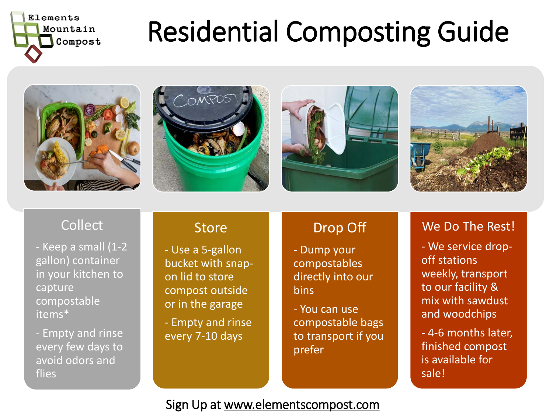

# Residential Composting Guide









### **Collect**

- Keep a small (1-2 gallon) container in your kitchen to capture compostable items\*

- Empty and rinse every few days to avoid odors and flies

### **Store**

- Use a 5-gallon bucket with snapon lid to store compost outside or in the garage

- Empty and rinse every 7-10 days

## Drop Off

- Dump your compostables directly into our bins

- You can use compostable bags to transport if you prefer

#### We Do The Rest!

- We service dropoff stations weekly, transport to our facility & mix with sawdust and woodchips

- 4-6 months later, finished compost is available for sale!

#### Sign Up at www.elementscompost.com